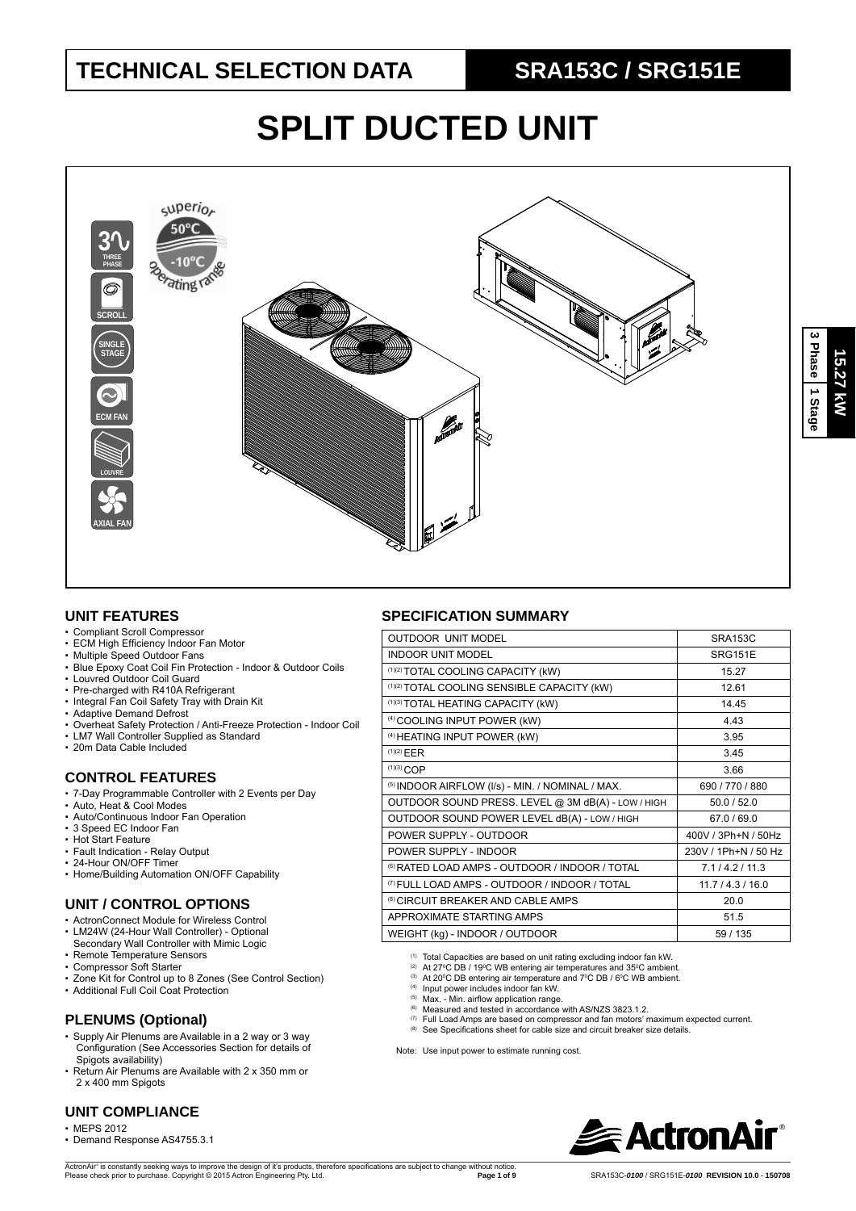# **SPLIT DUCTED UNIT**



#### **UNIT FEATURES**

- Compliant Scroll Compressor
- ECM High Efficiency Indoor Fan Motor
- Multiple Speed Outdoor Fans
- Blue Epoxy Coat Coil Fin Protection Indoor & Outdoor Coils
- Louvred Outdoor Coil Guard<br>• Pre-charged with R410A Ref
- Pre-charged with R410A Refrigerant • Integral Fan Coil Safety Tray with Drain Kit
- 
- Adaptive Demand Defrost
- Overheat Safety Protection / Anti-Freeze Protection Indoor Coil • LM7 Wall Controller Supplied as Standard
- 20m Data Cable Included
- 

#### **CONTROL FEATURES**

- 7-Day Programmable Controller with 2 Events per Day
- Auto, Heat & Cool Modes
- Auto/Continuous Indoor Fan Operation • 3 Speed EC Indoor Fan
- Hot Start Feature
- Fault Indication Relay Output
- 24-Hour ON/OFF Timer
- Home/Building Automation ON/OFF Capability

#### **UNIT / CONTROL OPTIONS**

- ActronConnect Module for Wireless Control
- LM24W (24-Hour Wall Controller) Optional Secondary Wall Controller with Mimic Logic
- Remote Temperature Sensors
- Compressor Soft Starter
- Zone Kit for Control up to 8 Zones (See Control Section)
- Additional Full Coil Coat Protection

#### **PLENUMS (Optional)**

- Supply Air Plenums are Available in a 2 way or 3 way Configuration (See Accessories Section for details of Spigots availability)
- Return Air Plenums are Available with 2 x 350 mm or 2 x 400 mm Spigots

#### **UNIT COMPLIANCE**

- MEPS 2012
- Demand Response AS4755.3.1

(1) Total Capacities are based on unit rating excluding indoor fan kW.

- 
- <sup>(2)</sup> At 27°C DB / 19°C WB entering air temperatures and 35°C ambient.<br><sup>(3)</sup> At 20°C DB entering air temperature and 7°C DB / 6°C WB ambient.
- 
- <sup>(4)</sup> Input power includes indoor fan kW.<br><sup>(5)</sup> Max. Min. airflow application range.<br><sup>(6)</sup> Measured and tested in accordance with AS/NZS 3823.1.2.
- - (7) Full Load Amps are based on compressor and fan motors' maximum expected current. (8) See Specifications sheet for cable size and circuit breaker size details.
- 

Note: Use input power to estimate running cost.



### **SPECIFICATION SUMMARY**

| <b>OUTDOOR UNIT MODEL</b>                                 | <b>SRA153C</b>       |
|-----------------------------------------------------------|----------------------|
| <b>INDOOR UNIT MODEL</b>                                  | <b>SRG151E</b>       |
| (1)(2) TOTAL COOLING CAPACITY (kW)                        | 15.27                |
| (1)(2) TOTAL COOLING SENSIBLE CAPACITY (kW)               | 12.61                |
| (1)(3) TOTAL HEATING CAPACITY (kW)                        | 14.45                |
| <sup>(4)</sup> COOLING INPUT POWER (kW)                   | 4.43                 |
| <sup>(4)</sup> HEATING INPUT POWER (kW)                   | 3.95                 |
| (1)(2) EER                                                | 3.45                 |
| $(1)(3)$ COP                                              | 3.66                 |
| (5) INDOOR AIRFLOW (I/s) - MIN. / NOMINAL / MAX.          | 690 / 770 / 880      |
| OUTDOOR SOUND PRESS. LEVEL @ 3M dB(A) - LOW / HIGH        | 50.0 / 52.0          |
| OUTDOOR SOUND POWER LEVEL dB(A) - LOW / HIGH              | 67.0/69.0            |
| POWER SUPPLY - OUTDOOR                                    | 400V / 3Ph+N / 50Hz  |
| POWER SUPPLY - INDOOR                                     | 230V / 1Ph+N / 50 Hz |
| <sup>(6)</sup> RATED LOAD AMPS - OUTDOOR / INDOOR / TOTAL | 7.1/4.2/11.3         |
| <sup>(7)</sup> FULL LOAD AMPS - OUTDOOR / INDOOR / TOTAL  | 11.7 / 4.3 / 16.0    |
| <sup>(8)</sup> CIRCUIT BREAKER AND CABLE AMPS             | 20.0                 |
| APPROXIMATE STARTING AMPS                                 | 51.5                 |
| WEIGHT (kg) - INDOOR / OUTDOOR                            | 59 / 135             |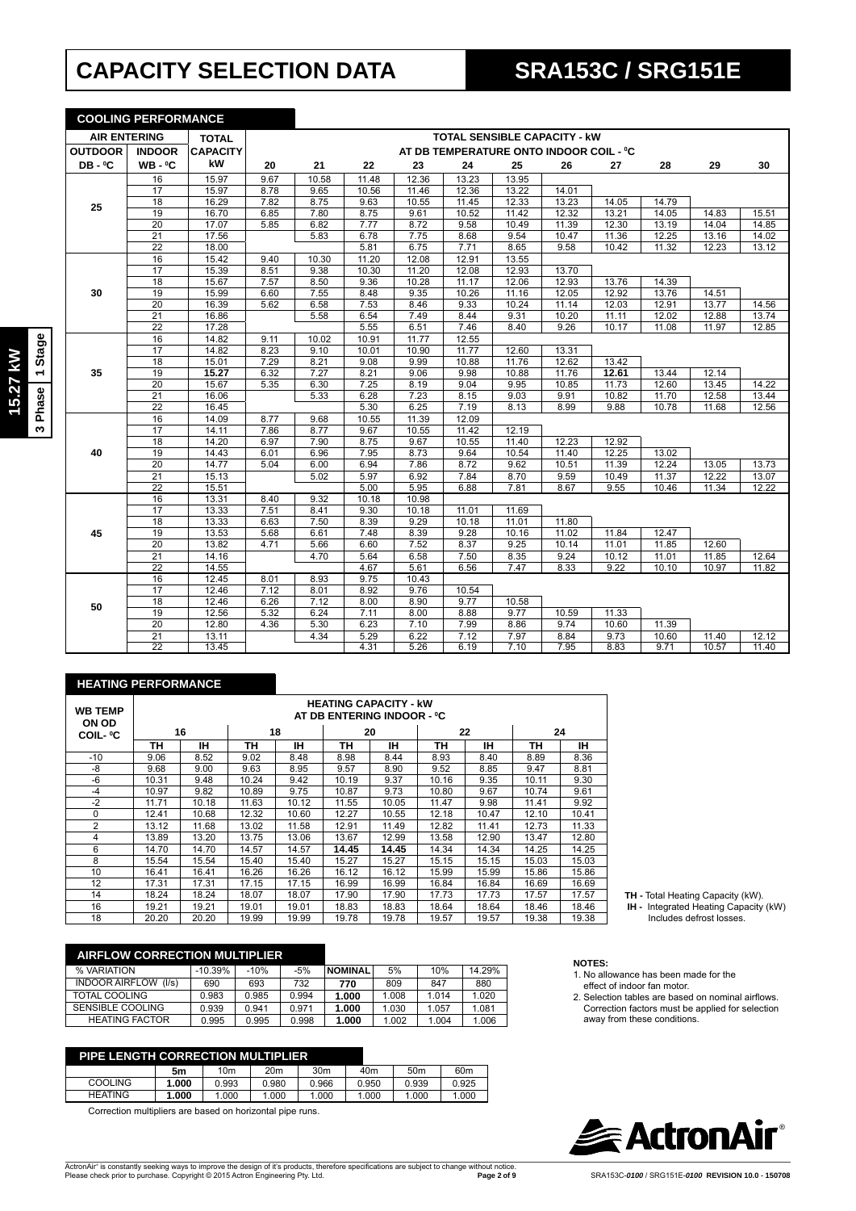# **CAPACITY SELECTION DATA SRA153C / SRG151E**

|                     | <b>COOLING PERFORMANCE</b> |                 |      |       |       |       |       |       |                                         |       |       |       |       |
|---------------------|----------------------------|-----------------|------|-------|-------|-------|-------|-------|-----------------------------------------|-------|-------|-------|-------|
| <b>AIR ENTERING</b> |                            | <b>TOTAL</b>    |      |       |       |       |       |       | <b>TOTAL SENSIBLE CAPACITY - KW</b>     |       |       |       |       |
| <b>OUTDOOR</b>      | <b>INDOOR</b>              | <b>CAPACITY</b> |      |       |       |       |       |       | AT DB TEMPERATURE ONTO INDOOR COIL - °C |       |       |       |       |
| DB-°C               | $WB - 0C$                  | kW              | 20   | 21    | 22    | 23    | 24    | 25    | 26                                      | 27    | 28    | 29    | 30    |
|                     | 16                         | 15.97           | 9.67 | 10.58 | 11.48 | 12.36 | 13.23 | 13.95 |                                         |       |       |       |       |
|                     | 17                         | 15.97           | 8.78 | 9.65  | 10.56 | 11.46 | 12.36 | 13.22 | 14.01                                   |       |       |       |       |
| 25                  | 18                         | 16.29           | 7.82 | 8.75  | 9.63  | 10.55 | 11.45 | 12.33 | 13.23                                   | 14.05 | 14.79 |       |       |
|                     | 19                         | 16.70           | 6.85 | 7.80  | 8.75  | 9.61  | 10.52 | 11.42 | 12.32                                   | 13.21 | 14.05 | 14.83 | 15.51 |
|                     | 20                         | 17.07           | 5.85 | 6.82  | 7.77  | 8.72  | 9.58  | 10.49 | 11.39                                   | 12.30 | 13.19 | 14.04 | 14.85 |
|                     | $\overline{21}$            | 17.56           |      | 5.83  | 6.78  | 7.75  | 8.68  | 9.54  | 10.47                                   | 11.36 | 12.25 | 13.16 | 14.02 |
|                     | $\overline{22}$            | 18.00           |      |       | 5.81  | 6.75  | 7.71  | 8.65  | 9.58                                    | 10.42 | 11.32 | 12.23 | 13.12 |
|                     | 16                         | 15.42           | 9.40 | 10.30 | 11.20 | 12.08 | 12.91 | 13.55 |                                         |       |       |       |       |
|                     | 17                         | 15.39           | 8.51 | 9.38  | 10.30 | 11.20 | 12.08 | 12.93 | 13.70                                   |       |       |       |       |
|                     | 18                         | 15.67           | 7.57 | 8.50  | 9.36  | 10.28 | 11.17 | 12.06 | 12.93                                   | 13.76 | 14.39 |       |       |
| 30                  | $\overline{19}$            | 15.99           | 6.60 | 7.55  | 8.48  | 9.35  | 10.26 | 11.16 | 12.05                                   | 12.92 | 13.76 | 14.51 |       |
|                     | 20                         | 16.39           | 5.62 | 6.58  | 7.53  | 8.46  | 9.33  | 10.24 | 11.14                                   | 12.03 | 12.91 | 13.77 | 14.56 |
|                     | 21                         | 16.86           |      | 5.58  | 6.54  | 7.49  | 8.44  | 9.31  | 10.20                                   | 11.11 | 12.02 | 12.88 | 13.74 |
|                     | $\overline{22}$            | 17.28           |      |       | 5.55  | 6.51  | 7.46  | 8.40  | 9.26                                    | 10.17 | 11.08 | 11.97 | 12.85 |
|                     | 16                         | 14.82           | 9.11 | 10.02 | 10.91 | 11.77 | 12.55 |       |                                         |       |       |       |       |
|                     | 17                         | 14.82           | 8.23 | 9.10  | 10.01 | 10.90 | 11.77 | 12.60 | 13.31                                   |       |       |       |       |
|                     | $\overline{18}$            | 15.01           | 7.29 | 8.21  | 9.08  | 9.99  | 10.88 | 11.76 | 12.62                                   | 13.42 |       |       |       |
| 35                  | 19                         | 15.27           | 6.32 | 7.27  | 8.21  | 9.06  | 9.98  | 10.88 | 11.76                                   | 12.61 | 13.44 | 12.14 |       |
|                     | 20                         | 15.67           | 5.35 | 6.30  | 7.25  | 8.19  | 9.04  | 9.95  | 10.85                                   | 11.73 | 12.60 | 13.45 | 14.22 |
|                     | 21                         | 16.06           |      | 5.33  | 6.28  | 7.23  | 8.15  | 9.03  | 9.91                                    | 10.82 | 11.70 | 12.58 | 13.44 |
|                     | $\overline{22}$            | 16.45           |      |       | 5.30  | 6.25  | 7.19  | 8.13  | 8.99                                    | 9.88  | 10.78 | 11.68 | 12.56 |
|                     | 16                         | 14.09           | 8.77 | 9.68  | 10.55 | 11.39 | 12.09 |       |                                         |       |       |       |       |
|                     | $\overline{17}$            | 14.11           | 7.86 | 8.77  | 9.67  | 10.55 | 11.42 | 12.19 |                                         |       |       |       |       |
|                     | 18                         | 14.20           | 6.97 | 7.90  | 8.75  | 9.67  | 10.55 | 11.40 | 12.23                                   | 12.92 |       |       |       |
| 40                  | 19                         | 14.43           | 6.01 | 6.96  | 7.95  | 8.73  | 9.64  | 10.54 | 11.40                                   | 12.25 | 13.02 |       |       |
|                     | $\overline{20}$            | 14.77           | 5.04 | 6.00  | 6.94  | 7.86  | 8.72  | 9.62  | 10.51                                   | 11.39 | 12.24 | 13.05 | 13.73 |
|                     | 21                         | 15.13           |      | 5.02  | 5.97  | 6.92  | 7.84  | 8.70  | 9.59                                    | 10.49 | 11.37 | 12.22 | 13.07 |
|                     | $\overline{22}$            | 15.51           |      |       | 5.00  | 5.95  | 6.88  | 7.81  | 8.67                                    | 9.55  | 10.46 | 11.34 | 12.22 |
|                     | 16                         | 13.31           | 8.40 | 9.32  | 10.18 | 10.98 |       |       |                                         |       |       |       |       |
|                     | 17                         | 13.33           | 7.51 | 8.41  | 9.30  | 10.18 | 11.01 | 11.69 |                                         |       |       |       |       |
|                     | 18                         | 13.33           | 6.63 | 7.50  | 8.39  | 9.29  | 10.18 | 11.01 | 11.80                                   |       |       |       |       |
| 45                  | 19                         | 13.53           | 5.68 | 6.61  | 7.48  | 8.39  | 9.28  | 10.16 | 11.02                                   | 11.84 | 12.47 |       |       |
|                     | 20                         | 13.82           | 4.71 | 5.66  | 6.60  | 7.52  | 8.37  | 9.25  | 10.14                                   | 11.01 | 11.85 | 12.60 |       |
|                     | 21                         | 14.16           |      | 4.70  | 5.64  | 6.58  | 7.50  | 8.35  | 9.24                                    | 10.12 | 11.01 | 11.85 | 12.64 |
|                     | $\overline{22}$            | 14.55           |      |       | 4.67  | 5.61  | 6.56  | 7.47  | 8.33                                    | 9.22  | 10.10 | 10.97 | 11.82 |
|                     | 16                         | 12.45           | 8.01 | 8.93  | 9.75  | 10.43 |       |       |                                         |       |       |       |       |
|                     | $\overline{17}$            | 12.46           | 7.12 | 8.01  | 8.92  | 9.76  | 10.54 |       |                                         |       |       |       |       |
| 50                  | 18                         | 12.46           | 6.26 | 7.12  | 8.00  | 8.90  | 9.77  | 10.58 |                                         |       |       |       |       |
|                     | 19                         | 12.56           | 5.32 | 6.24  | 7.11  | 8.00  | 8.88  | 9.77  | 10.59                                   | 11.33 |       |       |       |
|                     | 20                         | 12.80           | 4.36 | 5.30  | 6.23  | 7.10  | 7.99  | 8.86  | 9.74                                    | 10.60 | 11.39 |       |       |
|                     | $\overline{21}$            | 13.11           |      | 4.34  | 5.29  | 6.22  | 7.12  | 7.97  | 8.84                                    | 9.73  | 10.60 | 11.40 | 12.12 |
|                     | $\overline{22}$            | 13.45           |      |       | 4.31  | 5.26  | 6.19  | 7.10  | 7.95                                    | 8.83  | 9.71  | 10.57 | 11.40 |

#### **HEATING PERFORMANCE**

| <b>WB TEMP</b><br>ON OD | <b>HEATING CAPACITY - kW</b><br>AT DB ENTERING INDOOR - ºC |       |       |          |       |       |       |       |       |       |
|-------------------------|------------------------------------------------------------|-------|-------|----------|-------|-------|-------|-------|-------|-------|
| <b>COIL- °C</b>         |                                                            | 16    |       | 18<br>20 |       | 22    |       | 24    |       |       |
|                         | TН                                                         | ıн    | TН    | ıн       | TН    | IН    | TН    | IН    | TН    | ıн    |
| $-10$                   | 9.06                                                       | 8.52  | 9.02  | 8.48     | 8.98  | 8.44  | 8.93  | 8.40  | 8.89  | 8.36  |
| -8                      | 9.68                                                       | 9.00  | 9.63  | 8.95     | 9.57  | 8.90  | 9.52  | 8.85  | 9.47  | 8.81  |
| $-6$                    | 10.31                                                      | 9.48  | 10.24 | 9.42     | 10.19 | 9.37  | 10.16 | 9.35  | 10.11 | 9.30  |
| $-4$                    | 10.97                                                      | 9.82  | 10.89 | 9.75     | 10.87 | 9.73  | 10.80 | 9.67  | 10.74 | 9.61  |
| $-2$                    | 11.71                                                      | 10.18 | 11.63 | 10.12    | 11.55 | 10.05 | 11.47 | 9.98  | 11.41 | 9.92  |
| $\Omega$                | 12.41                                                      | 10.68 | 12.32 | 10.60    | 12.27 | 10.55 | 12.18 | 10.47 | 12.10 | 10.41 |
| 2                       | 13.12                                                      | 11.68 | 13.02 | 11.58    | 12.91 | 11.49 | 12.82 | 11.41 | 12.73 | 11.33 |
| 4                       | 13.89                                                      | 13.20 | 13.75 | 13.06    | 13.67 | 12.99 | 13.58 | 12.90 | 13.47 | 12.80 |
| 6                       | 14.70                                                      | 14.70 | 14.57 | 14.57    | 14.45 | 14.45 | 14.34 | 14.34 | 14.25 | 14.25 |
| 8                       | 15.54                                                      | 15.54 | 15.40 | 15.40    | 15.27 | 15.27 | 15.15 | 15.15 | 15.03 | 15.03 |
| 10                      | 16.41                                                      | 16.41 | 16.26 | 16.26    | 16.12 | 16.12 | 15.99 | 15.99 | 15.86 | 15.86 |
| 12                      | 17.31                                                      | 17.31 | 17.15 | 17.15    | 16.99 | 16.99 | 16.84 | 16.84 | 16.69 | 16.69 |
| 14                      | 18.24                                                      | 18.24 | 18.07 | 18.07    | 17.90 | 17.90 | 17.73 | 17.73 | 17.57 | 17.57 |
| 16                      | 19.21                                                      | 19.21 | 19.01 | 19.01    | 18.83 | 18.83 | 18.64 | 18.64 | 18.46 | 18.46 |
| 18                      | 20.20                                                      | 20.20 | 19.99 | 19.99    | 19.78 | 19.78 | 19.57 | 19.57 | 19.38 | 19.38 |

|  | <b>TH</b> - Total Heating Capacity (kW) |  |
|--|-----------------------------------------|--|

1. No allowance has been made for the effect of indoor fan motor.

away from these conditions.

2. Selection tables are based on nominal airflows. Correction factors must be applied for selection

**TH -** Total Heating Capacity (kW).  **IH -** Integrated Heating Capacity (kW) Includes defrost losses.

| <b>AIRFLOW CORRECTION MULTIPLIER</b> |           |        |       |                |       |       |        |
|--------------------------------------|-----------|--------|-------|----------------|-------|-------|--------|
| % VARIATION                          | $-10.39%$ | $-10%$ | $-5%$ | <b>NOMINAL</b> | 5%    | 10%   | 14.29% |
| <b>INDOOR AIRFLOW</b><br>(1/s)       | 690       | 693    | 732   | 770            | 809   | 847   | 880    |
| TOTAL COOLING                        | 0.983     | 0.985  | 0.994 | 1.000          | 1.008 | 1.014 | 1.020  |
| SENSIBLE COOLING                     | 0.939     | 0.941  | 0.971 | 1.000          | 1.030 | 1.057 | 1.081  |
| <b>HEATING FACTOR</b>                | 0.995     | 0.995  | 0.998 | 1.000          | 1.002 | 1.004 | 1.006  |
|                                      |           |        |       |                |       |       |        |

#### **PIPE LENGTH CORRECTION MULTIPLIER**

|                | 5m    | 10m   | 20 <sub>m</sub> | 30m   | 40m   | 50 <sub>m</sub> | 60 <sub>m</sub> |
|----------------|-------|-------|-----------------|-------|-------|-----------------|-----------------|
| COOLING        | .000  | 0.993 | 0.980           | 0.966 | 0.950 | 0.939           | 0.925           |
| <b>HEATING</b> | 1.000 | .000  | 1.000           | .000  | .000  | 1.000           | 1.000           |

Correction multipliers are based on horizontal pipe runs.

# **ExactronAir®**

**NOTES:**

**15.27 kW 3 Phase 1 Stage**

3 Phase 1 Stage 15.27 KW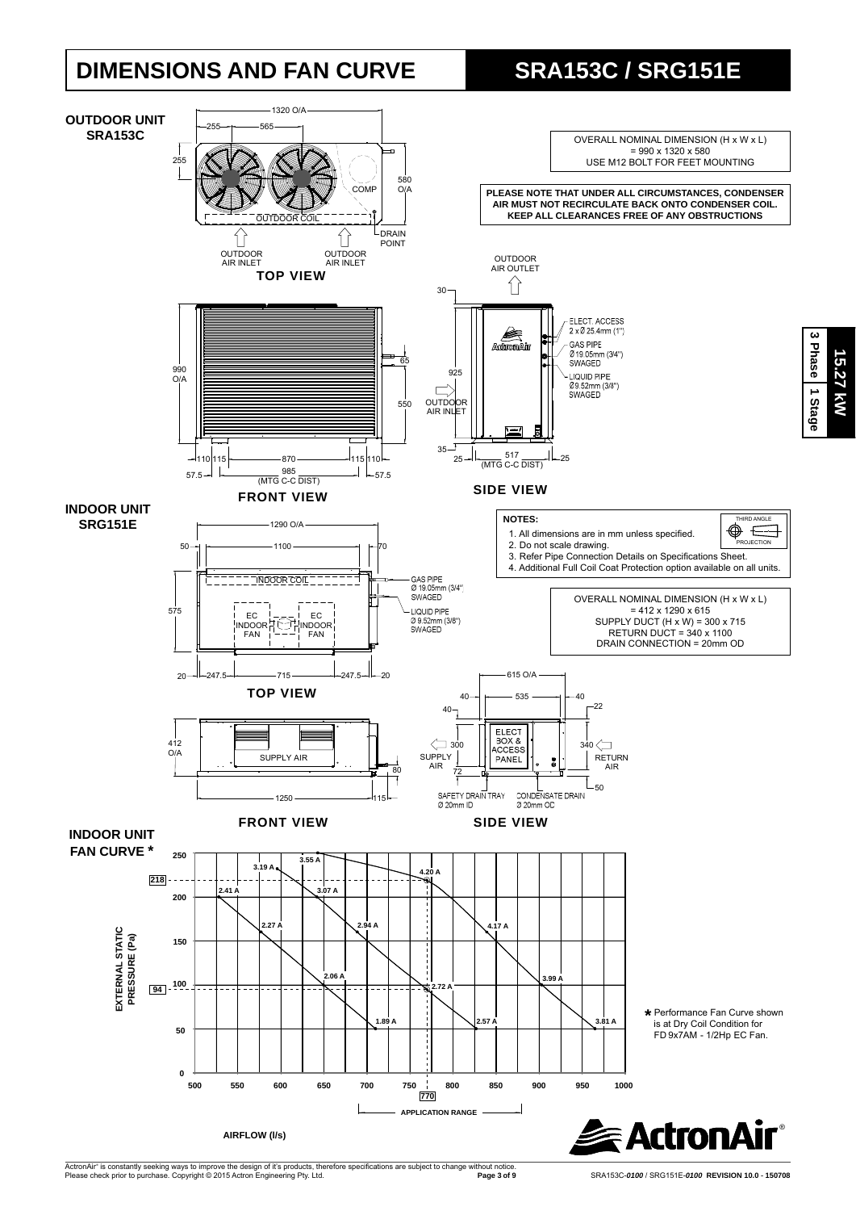## **DIMENSIONS AND FAN CURVE SRA153C / SRG151E**

**15.27 kW**

**15.27 kW** 



ActronAir® is constantly seeking ways to improve the design of it's products, therefore specifications are subject to change without notice.<br>Please check prior to purchase. Copyright © 2015 Actron Engineering Pty. Ltd.

**Page 3 of 9** SRA153C-*0100* / SRG151E-*0100* **REVISION 10.0** - **150708**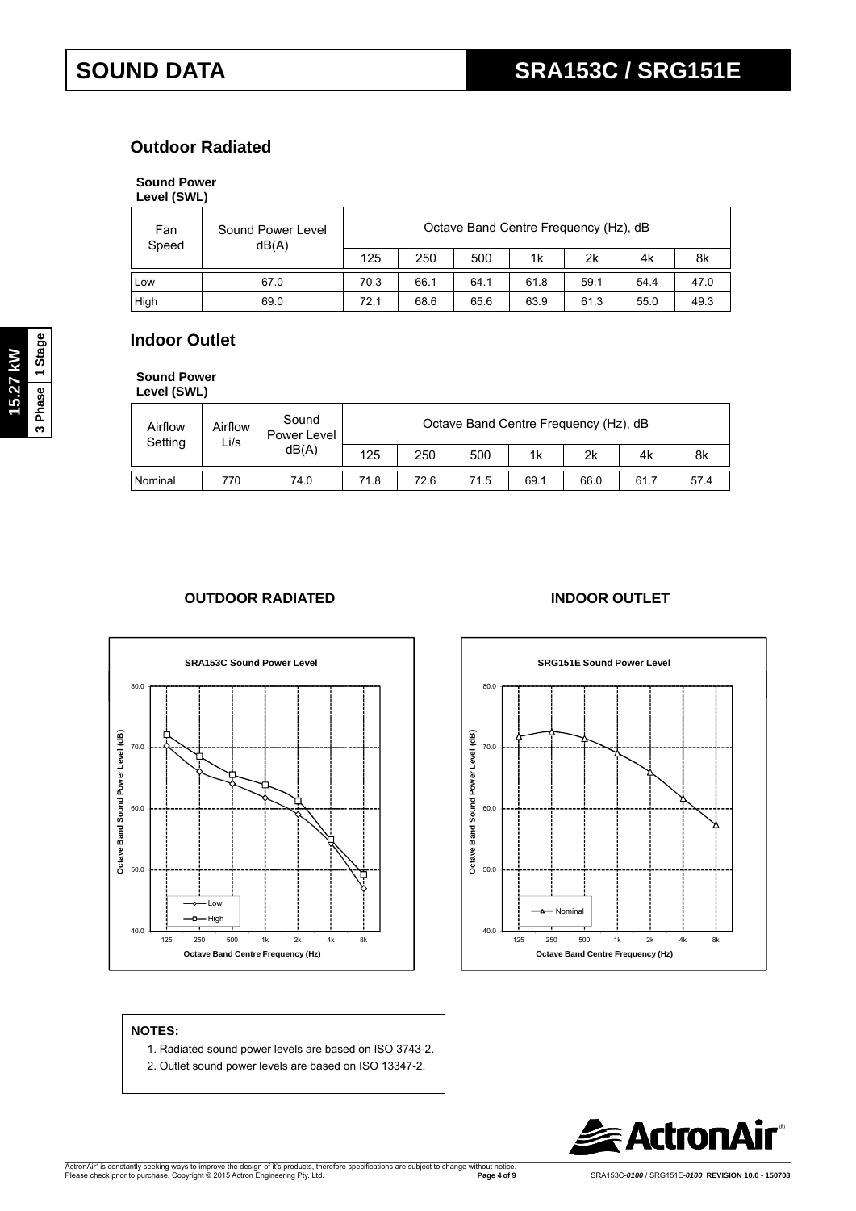### **Outdoor Radiated**

#### **Sound Power**

| Level (SWL) |  |
|-------------|--|
|             |  |

| Fan<br>Speed | Octave Band Centre Frequency (Hz), dB<br>Sound Power Level<br>dB(A) |      |      |      |      |      |      |      |
|--------------|---------------------------------------------------------------------|------|------|------|------|------|------|------|
|              |                                                                     | 125  | 250  | 500  | 1k   | 2k   | 4k   | 8k   |
| Low          | 67.0                                                                | 70.3 | 66.1 | 64.1 | 61.8 | 59.1 | 54.4 | 47.0 |
| High         | 69.0                                                                | 72.1 | 68.6 | 65.6 | 63.9 | 61.3 | 55.0 | 49.3 |

### **Indoor Outlet**

**Sound Power Level (SWL)**

| Airflow<br>Setting | Airflow<br>Li/s | Sound<br>Power Level | Octave Band Centre Frequency (Hz), dB |      |      |      |      |      |      |  |
|--------------------|-----------------|----------------------|---------------------------------------|------|------|------|------|------|------|--|
|                    |                 | dB(A)                | 125                                   | 250  | 500  | 1k   | 2k   | 4k   | 8k   |  |
| Nominal            | 770             | 74.0                 | 71.8                                  | 72.6 | 71.5 | 69.1 | 66.0 | 61.7 | 57.4 |  |

#### **OUTDOOR RADIATED INDOOR OUTLET**





#### **NOTES:**

- 1. Radiated sound power levels are based on ISO 3743-2.
- 2. Outlet sound power levels are based on ISO 13347-2.

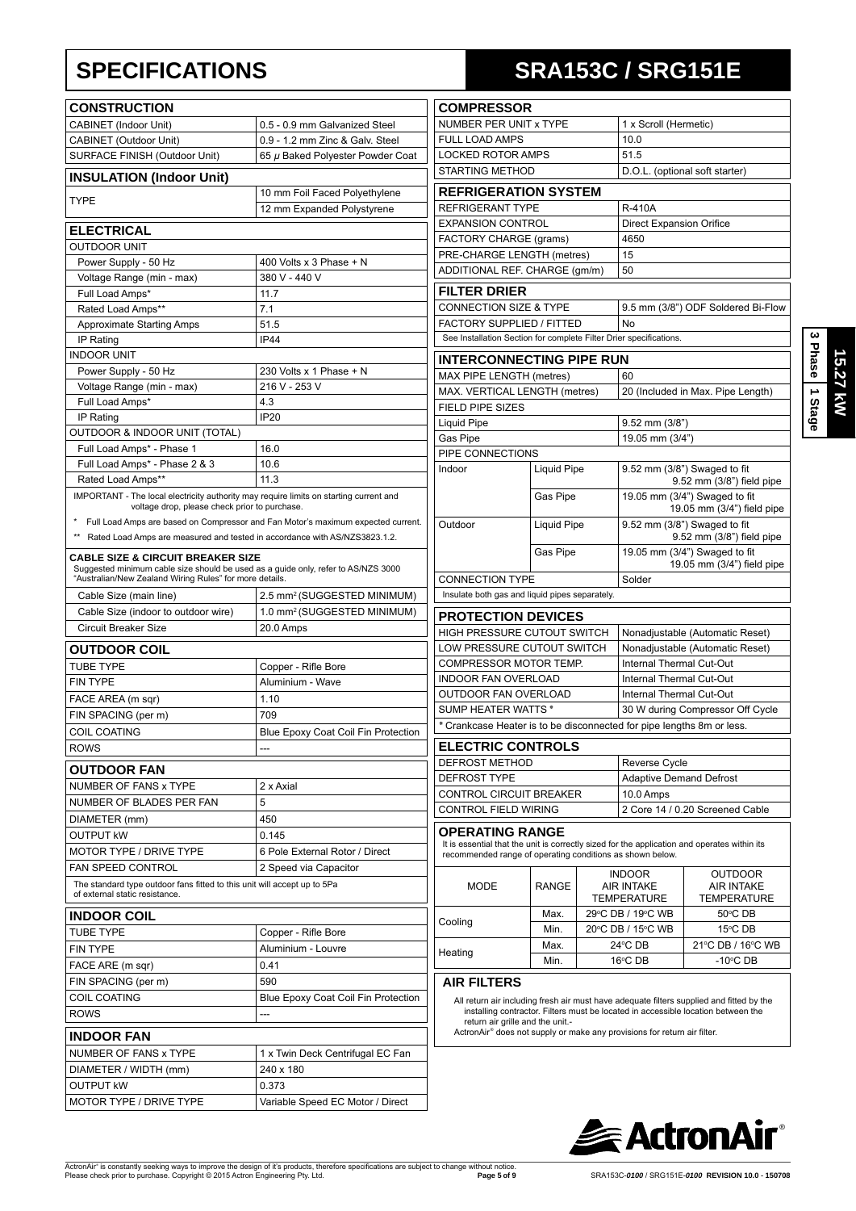| <b>CONSTRUCTION</b>                                                                                                                                                                          |                                                                                  |
|----------------------------------------------------------------------------------------------------------------------------------------------------------------------------------------------|----------------------------------------------------------------------------------|
| <b>CABINET (Indoor Unit)</b>                                                                                                                                                                 | 0.5 - 0.9 mm Galvanized Steel                                                    |
| CABINET (Outdoor Unit)                                                                                                                                                                       | 0.9 - 1.2 mm Zinc & Galv. Steel                                                  |
| SURFACE FINISH (Outdoor Unit)                                                                                                                                                                | 65 µ Baked Polyester Powder Coat                                                 |
| <b>INSULATION (Indoor Unit)</b>                                                                                                                                                              |                                                                                  |
|                                                                                                                                                                                              | 10 mm Foil Faced Polyethylene                                                    |
| TYPE                                                                                                                                                                                         | 12 mm Expanded Polystyrene                                                       |
|                                                                                                                                                                                              |                                                                                  |
| ELECTRICAL                                                                                                                                                                                   |                                                                                  |
| <b>OUTDOOR UNIT</b>                                                                                                                                                                          |                                                                                  |
| Power Supply - 50 Hz                                                                                                                                                                         | 400 Volts x 3 Phase $+ N$<br>380 V - 440 V                                       |
| Voltage Range (min - max)<br>Full Load Amps*                                                                                                                                                 | 11.7                                                                             |
| Rated Load Amps**                                                                                                                                                                            | 7.1                                                                              |
| <b>Approximate Starting Amps</b>                                                                                                                                                             | 51.5                                                                             |
| IP Rating                                                                                                                                                                                    | <b>IP44</b>                                                                      |
| <b>INDOOR UNIT</b>                                                                                                                                                                           |                                                                                  |
| Power Supply - 50 Hz                                                                                                                                                                         | 230 Volts x 1 Phase + N                                                          |
| Voltage Range (min - max)                                                                                                                                                                    | 216 V - 253 V                                                                    |
| Full Load Amps*                                                                                                                                                                              | 4.3                                                                              |
| IP Rating                                                                                                                                                                                    | <b>IP20</b>                                                                      |
| OUTDOOR & INDOOR UNIT (TOTAL)                                                                                                                                                                |                                                                                  |
| Full Load Amps* - Phase 1                                                                                                                                                                    | 16.0                                                                             |
| Full Load Amps* - Phase 2 & 3                                                                                                                                                                | 10.6                                                                             |
| Rated Load Amps**                                                                                                                                                                            | 11.3                                                                             |
| IMPORTANT - The local electricity authority may require limits on starting current and                                                                                                       |                                                                                  |
| voltage drop, please check prior to purchase.                                                                                                                                                |                                                                                  |
| $\star$                                                                                                                                                                                      | Full Load Amps are based on Compressor and Fan Motor's maximum expected current. |
| ** Rated Load Amps are measured and tested in accordance with AS/NZS3823.1.2.                                                                                                                |                                                                                  |
| <b>CABLE SIZE &amp; CIRCUIT BREAKER SIZE</b><br>Suggested minimum cable size should be used as a guide only, refer to AS/NZS 3000<br>"Australian/New Zealand Wiring Rules" for more details. |                                                                                  |
| Cable Size (main line)                                                                                                                                                                       | 2.5 mm <sup>2</sup> (SUGGESTED MINIMUM)                                          |
| Cable Size (indoor to outdoor wire)                                                                                                                                                          | 1.0 mm <sup>2</sup> (SUGGESTED MINIMUM)                                          |
| <b>Circuit Breaker Size</b>                                                                                                                                                                  | 20.0 Amps                                                                        |
| <b>OUTDOOR COIL</b>                                                                                                                                                                          |                                                                                  |
| <b>TUBE TYPE</b>                                                                                                                                                                             | Copper - Rifle Bore                                                              |
| <b>FIN TYPE</b>                                                                                                                                                                              | Aluminium - Wave                                                                 |
|                                                                                                                                                                                              |                                                                                  |
| FACE AREA (m sqr)                                                                                                                                                                            | 1.10                                                                             |
| FIN SPACING (per m)                                                                                                                                                                          | 709                                                                              |
| <b>COIL COATING</b>                                                                                                                                                                          | Blue Epoxy Coat Coil Fin Protection                                              |
| <b>ROWS</b>                                                                                                                                                                                  | ---                                                                              |
| <b>OUTDOOR FAN</b>                                                                                                                                                                           |                                                                                  |
| NUMBER OF FANS x TYPE                                                                                                                                                                        | 2 x Axial                                                                        |
| NUMBER OF BLADES PER FAN                                                                                                                                                                     | 5                                                                                |
| DIAMETER (mm)                                                                                                                                                                                | 450                                                                              |
| <b>OUTPUT KW</b>                                                                                                                                                                             | 0.145                                                                            |
| <b>MOTOR TYPE / DRIVE TYPE</b>                                                                                                                                                               | 6 Pole External Rotor / Direct                                                   |
| <b>FAN SPEED CONTROL</b>                                                                                                                                                                     | 2 Speed via Capacitor                                                            |
| The standard type outdoor fans fitted to this unit will accept up to 5Pa<br>of external static resistance.                                                                                   |                                                                                  |
| <b>INDOOR COIL</b>                                                                                                                                                                           |                                                                                  |
| <b>TUBE TYPE</b>                                                                                                                                                                             | Copper - Rifle Bore                                                              |
| <b>FIN TYPE</b>                                                                                                                                                                              | Aluminium - Louvre                                                               |
| FACE ARE (m sqr)                                                                                                                                                                             | 0.41                                                                             |
| FIN SPACING (per m)                                                                                                                                                                          | 590                                                                              |
| COIL COATING                                                                                                                                                                                 | Blue Epoxy Coat Coil Fin Protection                                              |
| <b>ROWS</b>                                                                                                                                                                                  |                                                                                  |
|                                                                                                                                                                                              |                                                                                  |
| <b>INDOOR FAN</b>                                                                                                                                                                            |                                                                                  |
| NUMBER OF FANS x TYPE                                                                                                                                                                        | 1 x Twin Deck Centrifugal EC Fan                                                 |
| DIAMETER / WIDTH (mm)                                                                                                                                                                        | 240 x 180                                                                        |
| <b>OUTPUT KW</b>                                                                                                                                                                             | 0.373                                                                            |
| MOTOR TYPE / DRIVE TYPE                                                                                                                                                                      | Variable Speed EC Motor / Direct                                                 |

# **SPECIFICATIONS SRA153C / SRG151E**

| <b>COMPRESSOR</b>                                                                                                                                                            |                        |  |                                                             |                                                                                          |  |
|------------------------------------------------------------------------------------------------------------------------------------------------------------------------------|------------------------|--|-------------------------------------------------------------|------------------------------------------------------------------------------------------|--|
| NUMBER PER UNIT x TYPE                                                                                                                                                       |                        |  | 1 x Scroll (Hermetic)                                       |                                                                                          |  |
| <b>FULL LOAD AMPS</b>                                                                                                                                                        |                        |  | 10.0                                                        |                                                                                          |  |
| <b>LOCKED ROTOR AMPS</b>                                                                                                                                                     |                        |  | 51.5                                                        |                                                                                          |  |
|                                                                                                                                                                              | <b>STARTING METHOD</b> |  |                                                             | D.O.L. (optional soft starter)                                                           |  |
| <b>REFRIGERATION SYSTEM</b>                                                                                                                                                  |                        |  |                                                             |                                                                                          |  |
| REFRIGERANT TYPE                                                                                                                                                             |                        |  | <b>R-410A</b>                                               |                                                                                          |  |
| <b>EXPANSION CONTROL</b>                                                                                                                                                     |                        |  | <b>Direct Expansion Orifice</b>                             |                                                                                          |  |
| FACTORY CHARGE (grams)                                                                                                                                                       |                        |  | 4650                                                        |                                                                                          |  |
| PRE-CHARGE LENGTH (metres)                                                                                                                                                   |                        |  | 15                                                          |                                                                                          |  |
| ADDITIONAL REF. CHARGE (qm/m)                                                                                                                                                |                        |  | 50                                                          |                                                                                          |  |
| <b>FILTER DRIER</b>                                                                                                                                                          |                        |  |                                                             |                                                                                          |  |
| <b>CONNECTION SIZE &amp; TYPE</b>                                                                                                                                            |                        |  |                                                             | 9.5 mm (3/8") ODF Soldered Bi-Flow                                                       |  |
| FACTORY SUPPLIED / FITTED                                                                                                                                                    |                        |  | No                                                          |                                                                                          |  |
| See Installation Section for complete Filter Drier specifications.                                                                                                           |                        |  |                                                             |                                                                                          |  |
| <b>INTERCONNECTING PIPE RUN</b>                                                                                                                                              |                        |  |                                                             |                                                                                          |  |
| MAX PIPE LENGTH (metres)                                                                                                                                                     |                        |  | 60                                                          |                                                                                          |  |
| MAX. VERTICAL LENGTH (metres)                                                                                                                                                |                        |  |                                                             | 20 (Included in Max. Pipe Length)                                                        |  |
| FIELD PIPE SIZES                                                                                                                                                             |                        |  |                                                             |                                                                                          |  |
| <b>Liquid Pipe</b>                                                                                                                                                           |                        |  | 9.52 mm (3/8")                                              |                                                                                          |  |
| Gas Pipe                                                                                                                                                                     |                        |  | 19.05 mm (3/4")                                             |                                                                                          |  |
| PIPE CONNECTIONS                                                                                                                                                             |                        |  |                                                             |                                                                                          |  |
| Indoor                                                                                                                                                                       | <b>Liquid Pipe</b>     |  |                                                             | 9.52 mm (3/8") Swaged to fit                                                             |  |
|                                                                                                                                                                              |                        |  | 9.52 mm (3/8") field pipe                                   |                                                                                          |  |
|                                                                                                                                                                              | Gas Pipe               |  | 19.05 mm (3/4") Swaged to fit<br>19.05 mm (3/4") field pipe |                                                                                          |  |
| Outdoor                                                                                                                                                                      | <b>Liquid Pipe</b>     |  |                                                             | $9.52$ mm $(3/8)$ Swaged to fit<br>9.52 mm (3/8") field pipe                             |  |
|                                                                                                                                                                              | Gas Pipe               |  |                                                             | 19.05 mm (3/4") Swaged to fit<br>19.05 mm (3/4") field pipe                              |  |
| <b>CONNECTION TYPE</b>                                                                                                                                                       |                        |  | Solder                                                      |                                                                                          |  |
| Insulate both gas and liquid pipes separately.                                                                                                                               |                        |  |                                                             |                                                                                          |  |
| <b>PROTECTION DEVICES</b>                                                                                                                                                    |                        |  |                                                             |                                                                                          |  |
| HIGH PRESSURE CUTOUT SWITCH                                                                                                                                                  |                        |  | Nonadjustable (Automatic Reset)                             |                                                                                          |  |
| LOW PRESSURE CUTOUT SWITCH                                                                                                                                                   |                        |  | Nonadjustable (Automatic Reset)                             |                                                                                          |  |
| COMPRESSOR MOTOR TEMP.                                                                                                                                                       |                        |  | Internal Thermal Cut-Out                                    |                                                                                          |  |
| <b>INDOOR FAN OVERLOAD</b>                                                                                                                                                   |                        |  | Internal Thermal Cut-Out                                    |                                                                                          |  |
| OUTDOOR FAN OVERLOAD                                                                                                                                                         |                        |  | Internal Thermal Cut-Out                                    |                                                                                          |  |
| SUMP HEATER WATTS*                                                                                                                                                           |                        |  | 30 W during Compressor Off Cycle                            |                                                                                          |  |
| * Crankcase Heater is to be disconnected for pipe lengths 8m or less.                                                                                                        |                        |  |                                                             |                                                                                          |  |
| <b>ELECTRIC CONTROLS</b>                                                                                                                                                     |                        |  |                                                             |                                                                                          |  |
| DEFROST METHOD                                                                                                                                                               |                        |  | Reverse Cycle                                               |                                                                                          |  |
| <b>DEFROST TYPE</b>                                                                                                                                                          |                        |  | <b>Adaptive Demand Defrost</b>                              |                                                                                          |  |
| <b>CONTROL CIRCUIT BREAKER</b>                                                                                                                                               |                        |  | 10.0 Amps                                                   |                                                                                          |  |
| CONTROL FIELD WIRING                                                                                                                                                         |                        |  |                                                             | 2 Core 14 / 0.20 Screened Cable                                                          |  |
| OPERATING RANGE<br>It is essential that the unit is correctly sized for the application and operates within its<br>recommended range of operating conditions as shown below. |                        |  |                                                             |                                                                                          |  |
| <b>MODE</b>                                                                                                                                                                  | <b>RANGE</b>           |  | <b>INDOOR</b><br><b>AIR INTAKE</b><br><b>TEMPERATURE</b>    | <b>OUTDOOR</b><br><b>AIR INTAKE</b><br>TEMPERATURE                                       |  |
| Cooling                                                                                                                                                                      | Max.                   |  | 29°C DB / 19°C WB                                           | 50°C DB                                                                                  |  |
|                                                                                                                                                                              | Min.                   |  | 20°C DB / 15°C WB                                           | 15°C DB                                                                                  |  |
| Heating                                                                                                                                                                      | Max.                   |  | 24°C DB                                                     | 21°C DB / 16°C WB                                                                        |  |
|                                                                                                                                                                              | Min.                   |  | 16°C DB                                                     | -10 $\rm ^{\circ}$ CDB                                                                   |  |
| <b>AIR FILTERS</b>                                                                                                                                                           |                        |  |                                                             | All return air including fresh air must have adequate filters supplied and fitted by the |  |

All return air including fresh air must have adequate filters supplied and fitted by the installing contractor. Filters must be located in accessible location between the return air grille and the unit.<br>
ActronAir<sup>®</sup> does



**3 Phase**

**15.27 kW**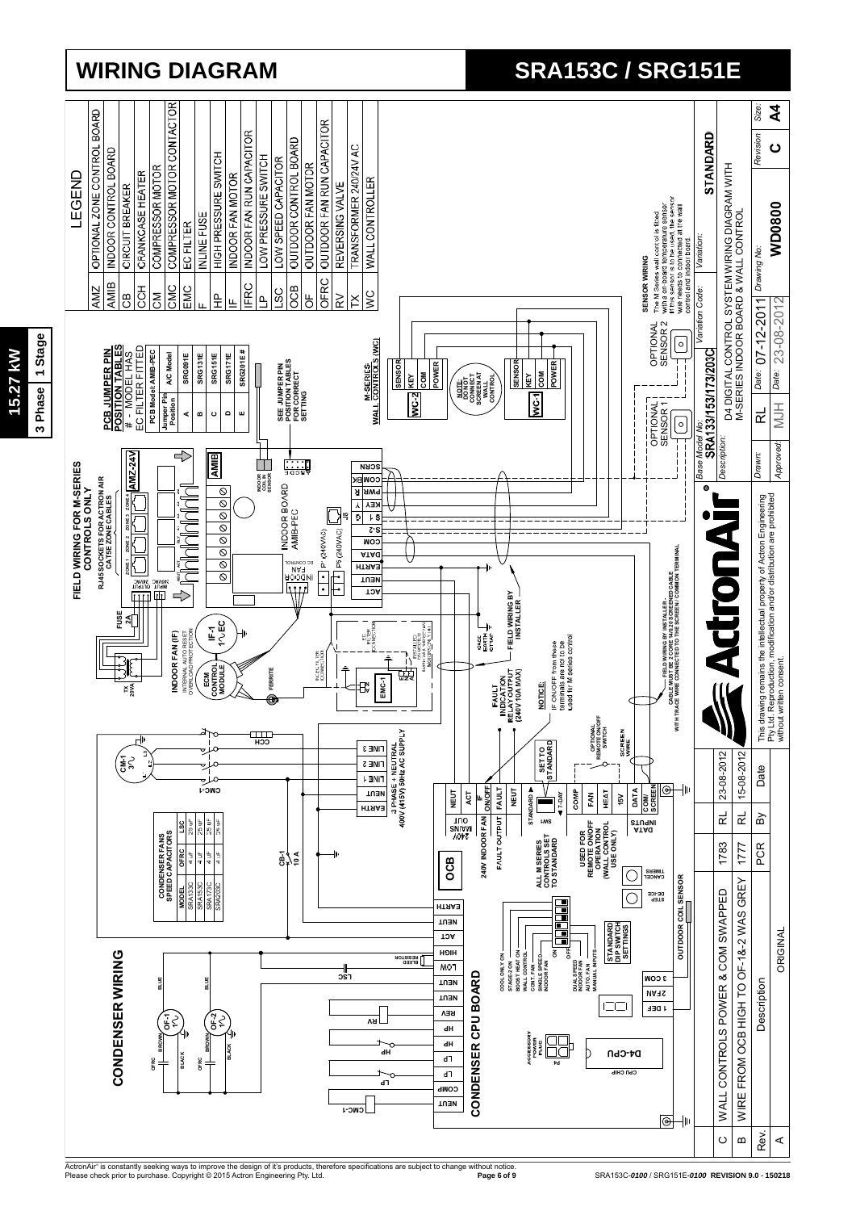

**15.27 kW**

15.27 kW

# **WIRING DIAGRAM SRA153C / SRG151E**

ActronAir® is constantly seeking ways to improve the design of it's products, therefore specifications are subject to change without notice.<br>Please check prior to purchase. Copyright © 2015 Actron Engineering Pty. Ltd.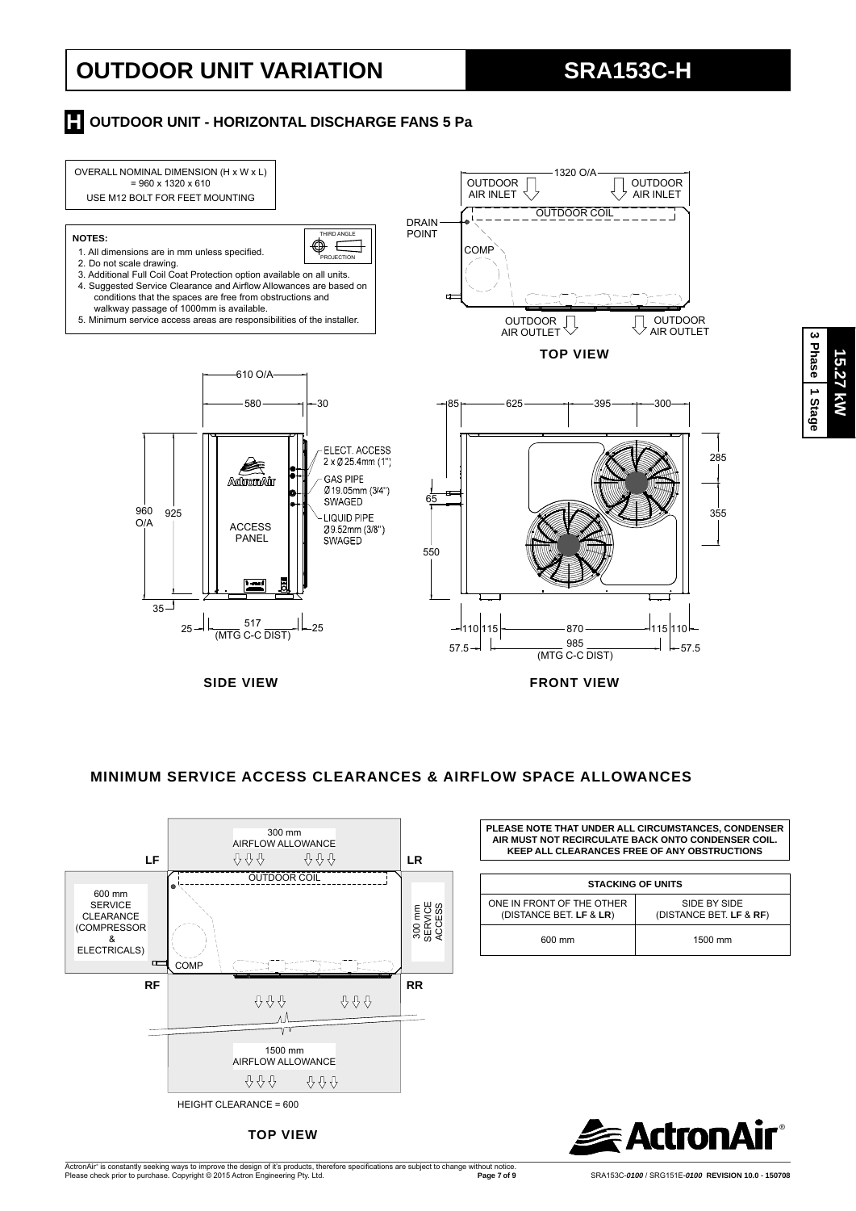# **OUTDOOR UNIT VARIATION SRA153C-H**

### **H** OUTDOOR UNIT - HORIZONTAL DISCHARGE FANS 5 Pa



#### **MINIMUM SERVICE ACCESS CLEARANCES & AIRFLOW SPACE ALLOWANCES**



**TOP VIEW**

ActronAir® is constantly seeking ways to improve the design of it's products, therefore specifications are subject to change without notice.<br>Please check prior to purchase. Copyright © 2015 Actron Engineering Pty. Ltd.

**PLEASE NOTE THAT UNDER ALL CIRCUMSTANCES, CONDENSER AIR MUST NOT RECIRCULATE BACK ONTO CONDENSER COIL. KEEP ALL CLEARANCES FREE OF ANY OBSTRUCTIONS**

| <b>STACKING OF UNITS</b>                             |                                         |  |  |  |  |
|------------------------------------------------------|-----------------------------------------|--|--|--|--|
| ONE IN FRONT OF THE OTHER<br>(DISTANCE BET. LF & LR) | SIDE BY SIDE<br>(DISTANCE BET. LF & RF) |  |  |  |  |
| 600 mm                                               | 1500 mm                                 |  |  |  |  |

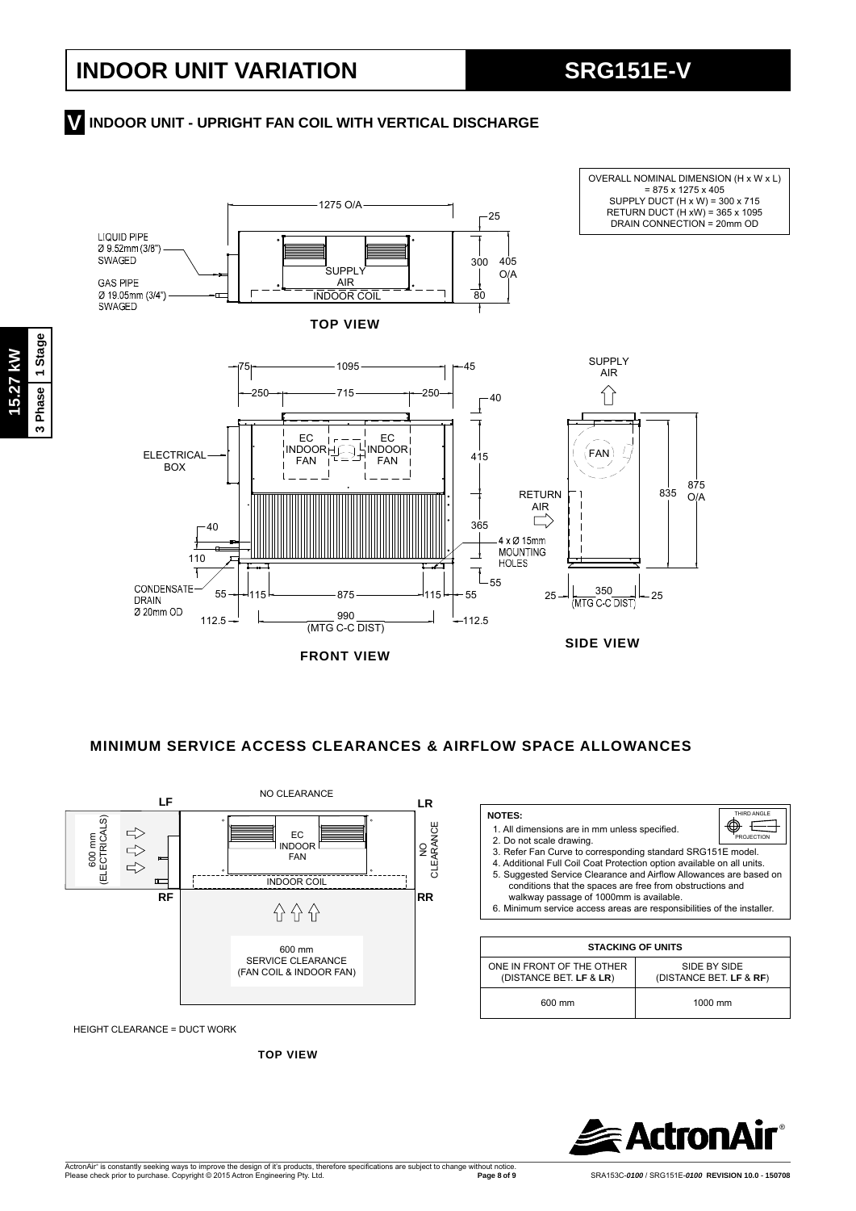### **INDOOR UNIT - UPRIGHT FAN COIL WITH VERTICAL DISCHARGE V**



**FRONT VIEW**

#### **MINIMUM SERVICE ACCESS CLEARANCES & AIRFLOW SPACE ALLOWANCES**



HEIGHT CLEARANCE = DUCT WORK

**TOP VIEW**

| THIRD ANGLE<br><b>NOTES:</b><br>1. All dimensions are in mm unless specified.<br>PROJECTION<br>2. Do not scale drawing.<br>3. Refer Fan Curve to corresponding standard SRG151E model.<br>4. Additional Full Coil Coat Protection option available on all units.<br>5. Suggested Service Clearance and Airflow Allowances are based on<br>conditions that the spaces are free from obstructions and<br>walkway passage of 1000mm is available.<br>6. Minimum service access areas are responsibilities of the installer. |                                         |  |  |  |  |  |  |  |  |
|--------------------------------------------------------------------------------------------------------------------------------------------------------------------------------------------------------------------------------------------------------------------------------------------------------------------------------------------------------------------------------------------------------------------------------------------------------------------------------------------------------------------------|-----------------------------------------|--|--|--|--|--|--|--|--|
| <b>STACKING OF UNITS</b>                                                                                                                                                                                                                                                                                                                                                                                                                                                                                                 |                                         |  |  |  |  |  |  |  |  |
| ONE IN FRONT OF THE OTHER<br>(DISTANCE BET. LF & LR)                                                                                                                                                                                                                                                                                                                                                                                                                                                                     | SIDE BY SIDE<br>(DISTANCE BET. LF & RF) |  |  |  |  |  |  |  |  |
| 600 mm                                                                                                                                                                                                                                                                                                                                                                                                                                                                                                                   | 1000 mm                                 |  |  |  |  |  |  |  |  |